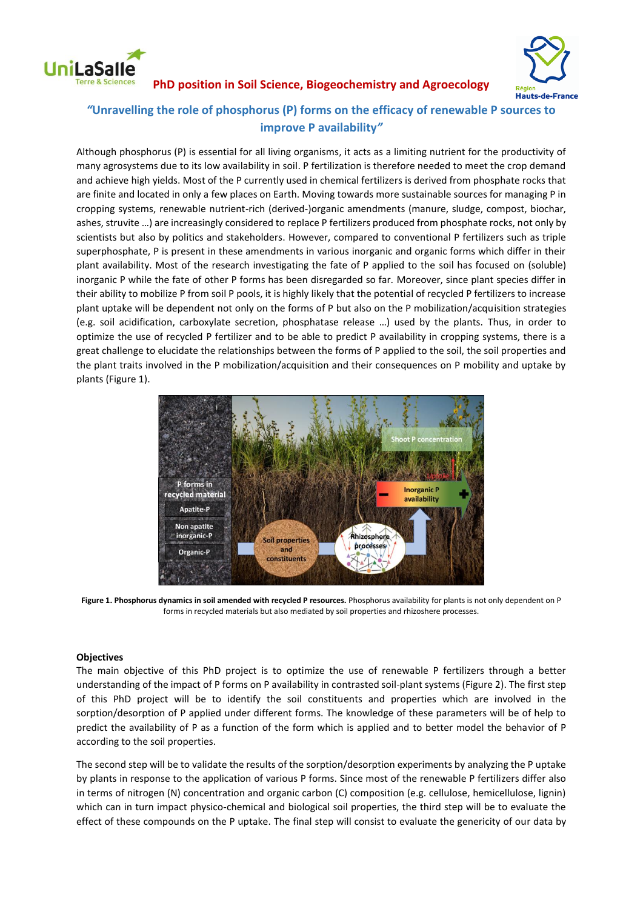

**Hauts-de-France** 

## **PhD position in Soil Science, Biogeochemistry and Agroecology**

# *"***Unravelling the role of phosphorus (P) forms on the efficacy of renewable P sources to improve P availability***"*

Although phosphorus (P) is essential for all living organisms, it acts as a limiting nutrient for the productivity of many agrosystems due to its low availability in soil. P fertilization is therefore needed to meet the crop demand and achieve high yields. Most of the P currently used in chemical fertilizers is derived from phosphate rocks that are finite and located in only a few places on Earth. Moving towards more sustainable sources for managing P in cropping systems, renewable nutrient-rich (derived-)organic amendments (manure, sludge, compost, biochar, ashes, struvite …) are increasingly considered to replace P fertilizers produced from phosphate rocks, not only by scientists but also by politics and stakeholders. However, compared to conventional P fertilizers such as triple superphosphate, P is present in these amendments in various inorganic and organic forms which differ in their plant availability. Most of the research investigating the fate of P applied to the soil has focused on (soluble) inorganic P while the fate of other P forms has been disregarded so far. Moreover, since plant species differ in their ability to mobilize P from soil P pools, it is highly likely that the potential of recycled P fertilizers to increase plant uptake will be dependent not only on the forms of P but also on the P mobilization/acquisition strategies (e.g. soil acidification, carboxylate secretion, phosphatase release …) used by the plants. Thus, in order to optimize the use of recycled P fertilizer and to be able to predict P availability in cropping systems, there is a great challenge to elucidate the relationships between the forms of P applied to the soil, the soil properties and the plant traits involved in the P mobilization/acquisition and their consequences on P mobility and uptake by plants (Figure 1).



**Figure 1. Phosphorus dynamics in soil amended with recycled P resources.** Phosphorus availability for plants is not only dependent on P forms in recycled materials but also mediated by soil properties and rhizoshere processes.

#### **Objectives**

The main objective of this PhD project is to optimize the use of renewable P fertilizers through a better understanding of the impact of P forms on P availability in contrasted soil-plant systems (Figure 2). The first step of this PhD project will be to identify the soil constituents and properties which are involved in the sorption/desorption of P applied under different forms. The knowledge of these parameters will be of help to predict the availability of P as a function of the form which is applied and to better model the behavior of P according to the soil properties.

The second step will be to validate the results of the sorption/desorption experiments by analyzing the P uptake by plants in response to the application of various P forms. Since most of the renewable P fertilizers differ also in terms of nitrogen (N) concentration and organic carbon (C) composition (e.g. cellulose, hemicellulose, lignin) which can in turn impact physico-chemical and biological soil properties, the third step will be to evaluate the effect of these compounds on the P uptake. The final step will consist to evaluate the genericity of our data by